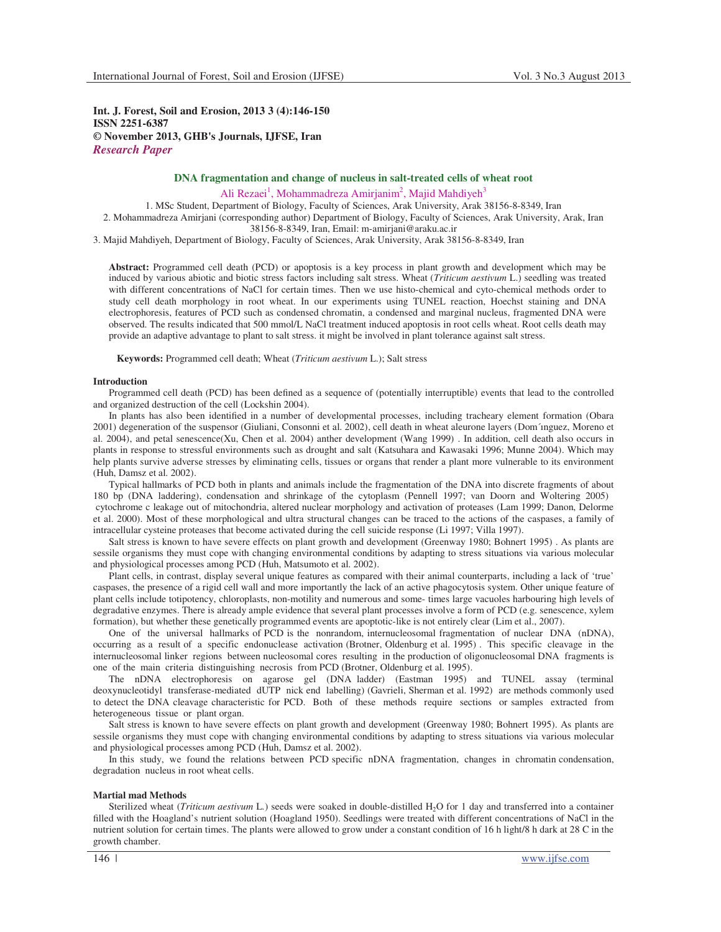**Int. J. Forest, Soil and Erosion, 2013 3 (4):146-150 ISSN 2251-6387 © November 2013, GHB's Journals, IJFSE, Iran** *Research Paper*

# **DNA fragmentation and change of nucleus in salt-treated cells of wheat root**

Ali Rezaei<sup>1</sup>, Mohammadreza Amirjanim<sup>2</sup>, Majid Mahdiyeh<sup>3</sup>

1. MSc Student, Department of Biology, Faculty of Sciences, Arak University, Arak 38156-8-8349, Iran

2. Mohammadreza Amirjani (corresponding author) Department of Biology, Faculty of Sciences, Arak University, Arak, Iran 38156-8-8349, Iran, Email: m-amirjani@araku.ac.ir

3. Majid Mahdiyeh, Department of Biology, Faculty of Sciences, Arak University, Arak 38156-8-8349, Iran

**Abstract:** Programmed cell death (PCD) or apoptosis is a key process in plant growth and development which may be induced by various abiotic and biotic stress factors including salt stress. Wheat (*Triticum aestivum* L.) seedling was treated with different concentrations of NaCl for certain times. Then we use histo-chemical and cyto-chemical methods order to study cell death morphology in root wheat. In our experiments using TUNEL reaction, Hoechst staining and DNA electrophoresis, features of PCD such as condensed chromatin, a condensed and marginal nucleus, fragmented DNA were observed. The results indicated that 500 mmol/L NaCl treatment induced apoptosis in root cells wheat. Root cells death may provide an adaptive advantage to plant to salt stress. it might be involved in plant tolerance against salt stress.

**Keywords:** Programmed cell death; Wheat (*Triticum aestivum* L.); Salt stress

#### **Introduction**

Programmed cell death (PCD) has been defined as a sequence of (potentially interruptible) events that lead to the controlled and organized destruction of the cell (Lockshin 2004).

In plants has also been identified in a number of developmental processes, including tracheary element formation (Obara 2001) degeneration of the suspensor (Giuliani, Consonni et al. 2002), cell death in wheat aleurone layers (Dom´ınguez, Moreno et al. 2004), and petal senescence(Xu, Chen et al. 2004) anther development (Wang 1999) . In addition, cell death also occurs in plants in response to stressful environments such as drought and salt (Katsuhara and Kawasaki 1996; Munne 2004). Which may help plants survive adverse stresses by eliminating cells, tissues or organs that render a plant more vulnerable to its environment (Huh, Damsz et al. 2002).

Typical hallmarks of PCD both in plants and animals include the fragmentation of the DNA into discrete fragments of about 180 bp (DNA laddering), condensation and shrinkage of the cytoplasm (Pennell 1997; van Doorn and Woltering 2005) cytochrome c leakage out of mitochondria, altered nuclear morphology and activation of proteases (Lam 1999; Danon, Delorme et al. 2000). Most of these morphological and ultra structural changes can be traced to the actions of the caspases, a family of intracellular cysteine proteases that become activated during the cell suicide response (Li 1997; Villa 1997).

Salt stress is known to have severe effects on plant growth and development (Greenway 1980; Bohnert 1995) . As plants are sessile organisms they must cope with changing environmental conditions by adapting to stress situations via various molecular and physiological processes among PCD (Huh, Matsumoto et al. 2002).

Plant cells, in contrast, display several unique features as compared with their animal counterparts, including a lack of 'true' caspases, the presence of a rigid cell wall and more importantly the lack of an active phagocytosis system. Other unique feature of plant cells include totipotency, chloroplasts, non-motility and numerous and some- times large vacuoles harbouring high levels of degradative enzymes. There is already ample evidence that several plant processes involve a form of PCD (e.g. senescence, xylem formation), but whether these genetically programmed events are apoptotic-like is not entirely clear (Lim et al., 2007).

One of the universal hallmarks of PCD is the nonrandom, internucleosomal fragmentation of nuclear DNA (nDNA), occurring as a result of a specific endonuclease activation (Brotner, Oldenburg et al. 1995) . This specific cleavage in the internucleosomal linker regions between nucleosomal cores resulting in the production of oligonucleosomal DNA fragments is one of the main criteria distinguishing necrosis from PCD (Brotner, Oldenburg et al. 1995).

The nDNA electrophoresis on agarose gel (DNA ladder) (Eastman 1995) and TUNEL assay (terminal deoxynucleotidyl transferase-mediated dUTP nick end labelling) (Gavrieli, Sherman et al. 1992) are methods commonly used to detect the DNA cleavage characteristic for PCD. Both of these methods require sections or samples extracted from heterogeneous tissue or plant organ.

Salt stress is known to have severe effects on plant growth and development (Greenway 1980; Bohnert 1995). As plants are sessile organisms they must cope with changing environmental conditions by adapting to stress situations via various molecular and physiological processes among PCD (Huh, Damsz et al. 2002).

In this study, we found the relations between PCD specific nDNA fragmentation, changes in chromatin condensation, degradation nucleus in root wheat cells.

## **Martial mad Methods**

Sterilized wheat (*Triticum aestivum* L*.*) seeds were soaked in double-distilled H2O for 1 day and transferred into a container filled with the Hoagland's nutrient solution (Hoagland 1950). Seedlings were treated with different concentrations of NaCl in the nutrient solution for certain times. The plants were allowed to grow under a constant condition of 16 h light/8 h dark at 28 C in the growth chamber.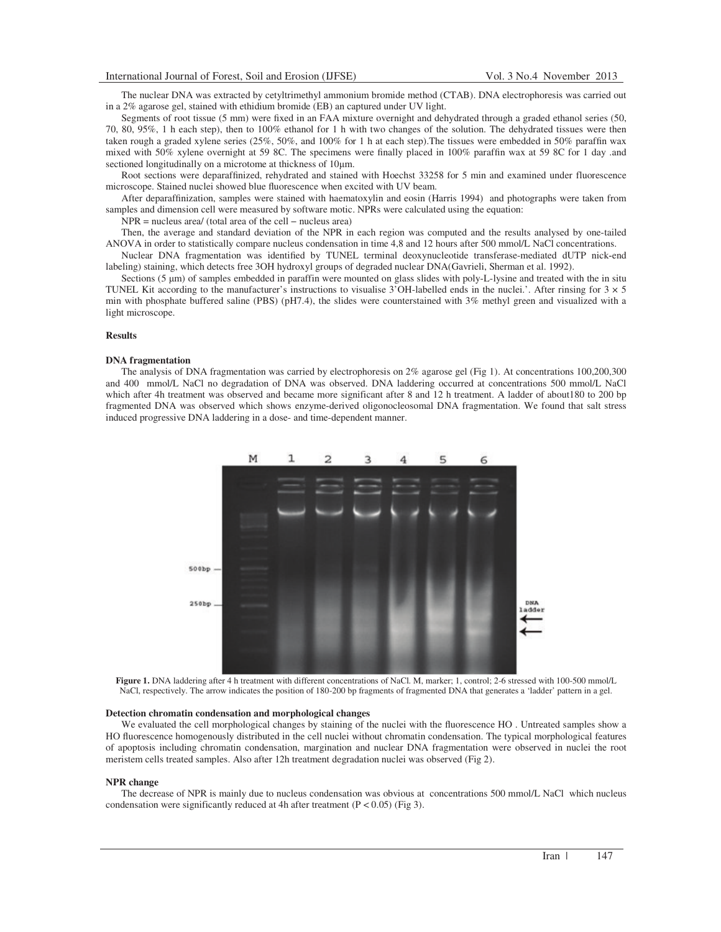The nuclear DNA was extracted by cetyltrimethyl ammonium bromide method (CTAB). DNA electrophoresis was carried out in a 2% agarose gel, stained with ethidium bromide (EB) an captured under UV light.

Segments of root tissue (5 mm) were fixed in an FAA mixture overnight and dehydrated through a graded ethanol series (50, 70, 80, 95%, 1 h each step), then to 100% ethanol for 1 h with two changes of the solution. The dehydrated tissues were then taken rough a graded xylene series (25%, 50%, and 100% for 1 h at each step).The tissues were embedded in 50% paraffin wax mixed with 50% xylene overnight at 59 8C. The specimens were finally placed in 100% paraffin wax at 59 8C for 1 day .and sectioned longitudinally on a microtome at thickness of 10µm.

Root sections were deparaffinized, rehydrated and stained with Hoechst 33258 for 5 min and examined under fluorescence microscope. Stained nuclei showed blue fluorescence when excited with UV beam.

After deparaffinization, samples were stained with haematoxylin and eosin (Harris 1994) and photographs were taken from samples and dimension cell were measured by software motic. NPRs were calculated using the equation:

NPR = nucleus area/ (total area of the cell – nucleus area)

Then, the average and standard deviation of the NPR in each region was computed and the results analysed by one-tailed ANOVA in order to statistically compare nucleus condensation in time 4,8 and 12 hours after 500 mmol/L NaCl concentrations.

Nuclear DNA fragmentation was identified by TUNEL terminal deoxynucleotide transferase-mediated dUTP nick-end labeling) staining, which detects free 3OH hydroxyl groups of degraded nuclear DNA(Gavrieli, Sherman et al. 1992).

Sections  $(5 \mu m)$  of samples embedded in paraffin were mounted on glass slides with poly-L-lysine and treated with the in situ TUNEL Kit according to the manufacturer's instructions to visualise  $3'OH$ -labelled ends in the nuclei.'. After rinsing for  $3 \times 5$ min with phosphate buffered saline (PBS) (pH7.4), the slides were counterstained with 3% methyl green and visualized with a light microscope.

### **Results**

### **DNA fragmentation**

The analysis of DNA fragmentation was carried by electrophoresis on 2% agarose gel (Fig 1). At concentrations 100,200,300 and 400 mmol/L NaCl no degradation of DNA was observed. DNA laddering occurred at concentrations 500 mmol/L NaCl which after 4h treatment was observed and became more significant after 8 and 12 h treatment. A ladder of about180 to 200 bp fragmented DNA was observed which shows enzyme-derived oligonocleosomal DNA fragmentation. We found that salt stress induced progressive DNA laddering in a dose- and time-dependent manner.



**Figure 1.** DNA laddering after 4 h treatment with different concentrations of NaCl. M, marker; 1, control; 2-6 stressed with 100-500 mmol/L NaCl, respectively. The arrow indicates the position of 180-200 bp fragments of fragmented DNA that generates a 'ladder' pattern in a gel.

#### **Detection chromatin condensation and morphological changes**

We evaluated the cell morphological changes by staining of the nuclei with the fluorescence HO . Untreated samples show a HO fluorescence homogenously distributed in the cell nuclei without chromatin condensation. The typical morphological features of apoptosis including chromatin condensation, margination and nuclear DNA fragmentation were observed in nuclei the root meristem cells treated samples. Also after 12h treatment degradation nuclei was observed (Fig 2).

#### **NPR change**

The decrease of NPR is mainly due to nucleus condensation was obvious at concentrations 500 mmol/L NaCl which nucleus condensation were significantly reduced at 4h after treatment  $(P < 0.05)$  (Fig 3).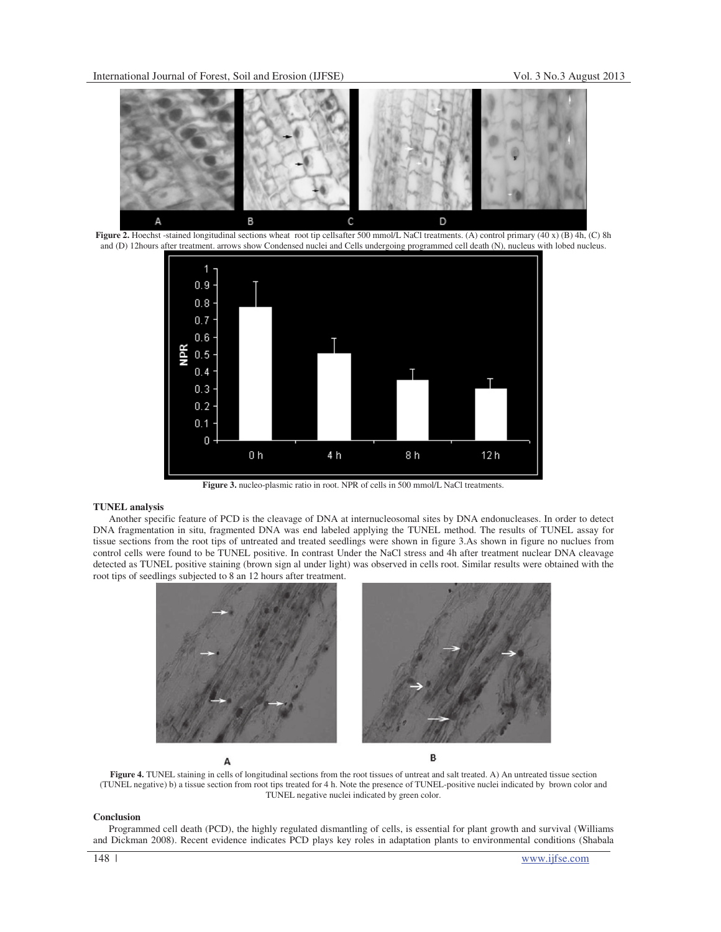

**Figure 2.** Hoechst -stained longitudinal sections wheat root tip cellsafter 500 mmol/L NaCl treatments. (A) control primary (40 x) (B) 4h, (C) 8h and (D) 12hours after treatment. arrows show Condensed nuclei and Cells undergoing programmed cell death (N), nucleus with lobed nucleus.



**Figure 3.** nucleo-plasmic ratio in root. NPR of cells in 500 mmol/L NaCl treatments.

## **TUNEL analysis**

Another specific feature of PCD is the cleavage of DNA at internucleosomal sites by DNA endonucleases. In order to detect DNA fragmentation in situ, fragmented DNA was end labeled applying the TUNEL method. The results of TUNEL assay for tissue sections from the root tips of untreated and treated seedlings were shown in figure 3.As shown in figure no nuclues from control cells were found to be TUNEL positive. In contrast Under the NaCl stress and 4h after treatment nuclear DNA cleavage detected as TUNEL positive staining (brown sign al under light) was observed in cells root. Similar results were obtained with the root tips of seedlings subjected to 8 an 12 hours after treatment.



A

B

Figure 4. TUNEL staining in cells of longitudinal sections from the root tissues of untreat and salt treated. A) An untreated tissue section (TUNEL negative) b) a tissue section from root tips treated for 4 h. Note the presence of TUNEL-positive nuclei indicated by brown color and TUNEL negative nuclei indicated by green color.

## **Conclusion**

Programmed cell death (PCD), the highly regulated dismantling of cells, is essential for plant growth and survival (Williams and Dickman 2008). Recent evidence indicates PCD plays key roles in adaptation plants to environmental conditions (Shabala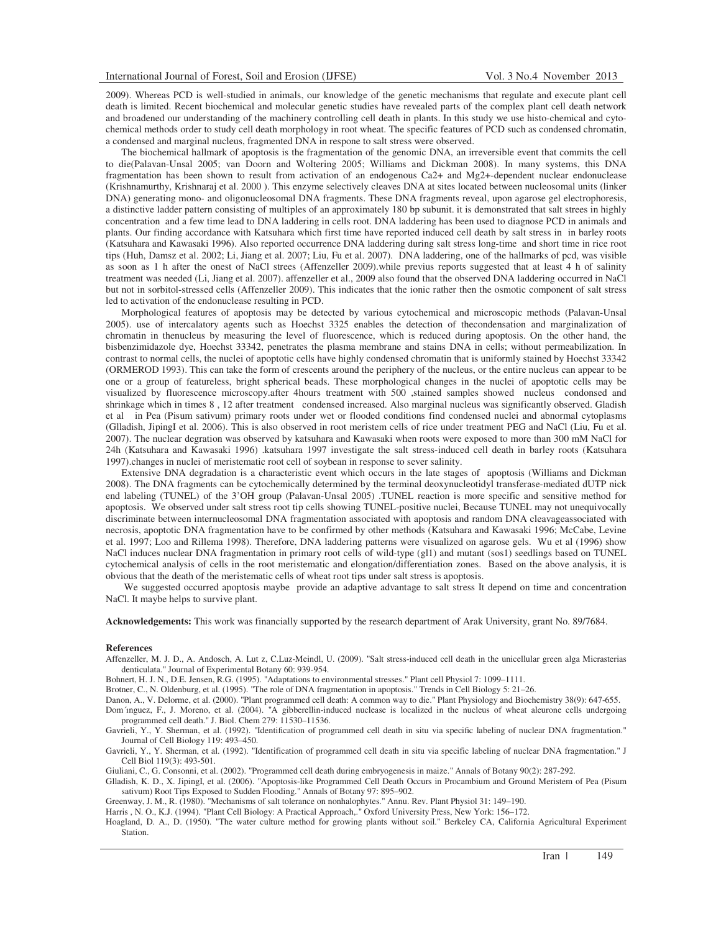2009). Whereas PCD is well-studied in animals, our knowledge of the genetic mechanisms that regulate and execute plant cell death is limited. Recent biochemical and molecular genetic studies have revealed parts of the complex plant cell death network and broadened our understanding of the machinery controlling cell death in plants. In this study we use histo-chemical and cytochemical methods order to study cell death morphology in root wheat. The specific features of PCD such as condensed chromatin, a condensed and marginal nucleus, fragmented DNA in respone to salt stress were observed.

The biochemical hallmark of apoptosis is the fragmentation of the genomic DNA, an irreversible event that commits the cell to die(Palavan-Unsal 2005; van Doorn and Woltering 2005; Williams and Dickman 2008). In many systems, this DNA fragmentation has been shown to result from activation of an endogenous Ca2+ and Mg2+-dependent nuclear endonuclease (Krishnamurthy, Krishnaraj et al. 2000 ). This enzyme selectively cleaves DNA at sites located between nucleosomal units (linker DNA) generating mono- and oligonucleosomal DNA fragments. These DNA fragments reveal, upon agarose gel electrophoresis, a distinctive ladder pattern consisting of multiples of an approximately 180 bp subunit. it is demonstrated that salt strees in highly concentration and a few time lead to DNA laddering in cells root. DNA laddering has been used to diagnose PCD in animals and plants. Our finding accordance with Katsuhara which first time have reported induced cell death by salt stress in in barley roots (Katsuhara and Kawasaki 1996). Also reported occurrence DNA laddering during salt stress long-time and short time in rice root tips (Huh, Damsz et al. 2002; Li, Jiang et al. 2007; Liu, Fu et al. 2007). DNA laddering, one of the hallmarks of pcd, was visible as soon as 1 h after the onest of NaCl strees (Affenzeller 2009).while previus reports suggested that at least 4 h of salinity treatment was needed (Li, Jiang et al. 2007). affenzeller et al., 2009 also found that the observed DNA laddering occurred in NaCl but not in sorbitol-stressed cells (Affenzeller 2009). This indicates that the ionic rather then the osmotic component of salt stress led to activation of the endonuclease resulting in PCD.

Morphological features of apoptosis may be detected by various cytochemical and microscopic methods (Palavan-Unsal 2005). use of intercalatory agents such as Hoechst 3325 enables the detection of thecondensation and marginalization of chromatin in thenucleus by measuring the level of fluorescence, which is reduced during apoptosis. On the other hand, the bisbenzimidazole dye, Hoechst 33342, penetrates the plasma membrane and stains DNA in cells; without permeabilization. In contrast to normal cells, the nuclei of apoptotic cells have highly condensed chromatin that is uniformly stained by Hoechst 33342 (ORMEROD 1993). This can take the form of crescents around the periphery of the nucleus, or the entire nucleus can appear to be one or a group of featureless, bright spherical beads. These morphological changes in the nuclei of apoptotic cells may be visualized by fluorescence microscopy.after 4hours treatment with 500 ,stained samples showed nucleus condonsed and shrinkage which in times 8 , 12 after treatment condensed increased. Also marginal nucleus was significantly observed. Gladish et al in Pea (Pisum sativum) primary roots under wet or flooded conditions find condensed nuclei and abnormal cytoplasms (Glladish, JipingI et al. 2006). This is also observed in root meristem cells of rice under treatment PEG and NaCl (Liu, Fu et al. 2007). The nuclear degration was observed by katsuhara and Kawasaki when roots were exposed to more than 300 mM NaCl for 24h (Katsuhara and Kawasaki 1996) .katsuhara 1997 investigate the salt stress-induced cell death in barley roots (Katsuhara 1997).changes in nuclei of meristematic root cell of soybean in response to sever salinity.

Extensive DNA degradation is a characteristic event which occurs in the late stages of apoptosis (Williams and Dickman 2008). The DNA fragments can be cytochemically determined by the terminal deoxynucleotidyl transferase-mediated dUTP nick end labeling (TUNEL) of the 3'OH group (Palavan-Unsal 2005) .TUNEL reaction is more specific and sensitive method for apoptosis. We observed under salt stress root tip cells showing TUNEL-positive nuclei, Because TUNEL may not unequivocally discriminate between internucleosomal DNA fragmentation associated with apoptosis and random DNA cleavageassociated with necrosis, apoptotic DNA fragmentation have to be confirmed by other methods (Katsuhara and Kawasaki 1996; McCabe, Levine et al. 1997; Loo and Rillema 1998). Therefore, DNA laddering patterns were visualized on agarose gels. Wu et al (1996) show NaCl induces nuclear DNA fragmentation in primary root cells of wild-type (gl1) and mutant (sos1) seedlings based on TUNEL cytochemical analysis of cells in the root meristematic and elongation/differentiation zones. Based on the above analysis, it is obvious that the death of the meristematic cells of wheat root tips under salt stress is apoptosis.

We suggested occurred apoptosis maybe provide an adaptive advantage to salt stress It depend on time and concentration NaCl. It maybe helps to survive plant.

**Acknowledgements:** This work was financially supported by the research department of Arak University, grant No. 89/7684.

#### **References**

Affenzeller, M. J. D., A. Andosch, A. Lut z, C.Luz-Meindl, U. (2009). "Salt stress-induced cell death in the unicellular green alga Micrasterias denticulata." Journal of Experimental Botany 60: 939-954.

Bohnert, H. J. N., D.E. Jensen, R.G. (1995). "Adaptations to environmental stresses." Plant cell Physiol 7: 1099–1111.

Brotner, C., N. Oldenburg, et al. (1995). "The role of DNA fragmentation in apoptosis." Trends in Cell Biology 5: 21–26.

Danon, A., V. Delorme, et al. (2000). "Plant programmed cell death: A common way to die." Plant Physiology and Biochemistry 38(9): 647-655. Dom´nguez, F., J. Moreno, et al. (2004). "A gibberellin-induced nuclease is localized in the nucleus of wheat aleurone cells undergoing programmed cell death." J. Biol. Chem 279: 11530–11536.

Gavrieli, Y., Y. Sherman, et al. (1992). "Identification of programmed cell death in situ via specific labeling of nuclear DNA fragmentation." Journal of Cell Biology 119: 493–450.

Gavrieli, Y., Y. Sherman, et al. (1992). "Identification of programmed cell death in situ via specific labeling of nuclear DNA fragmentation." J Cell Biol 119(3): 493-501.

Giuliani, C., G. Consonni, et al. (2002). "Programmed cell death during embryogenesis in maize." Annals of Botany 90(2): 287-292.

Glladish, K. D., X. JipingI, et al. (2006). "Apoptosis-like Programmed Cell Death Occurs in Procambium and Ground Meristem of Pea (Pisum sativum) Root Tips Exposed to Sudden Flooding." Annals of Botany 97: 895–902.

Greenway, J. M., R. (1980). "Mechanisms of salt tolerance on nonhalophytes." Annu. Rev. Plant Physiol 31: 149–190.

Harris , N. O., K.J. (1994). "Plant Cell Biology: A Practical Approach,." Oxford University Press, New York: 156–172.

Hoagland, D. A., D. (1950). "The water culture method for growing plants without soil." Berkeley CA, California Agricultural Experiment Station.